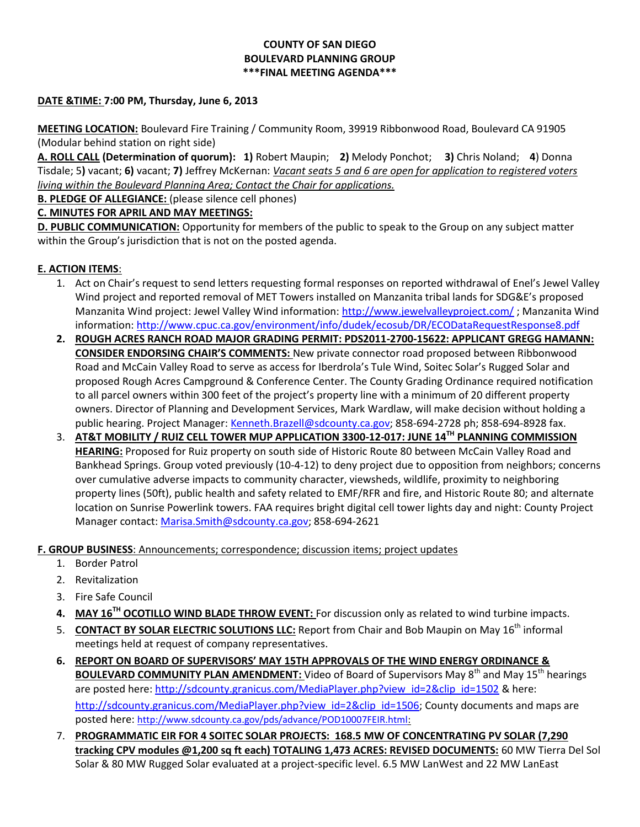### **COUNTY OF SAN DIEGO BOULEVARD PLANNING GROUP \*\*\*FINAL MEETING AGENDA\*\*\***

### **DATE &TIME: 7:00 PM, Thursday, June 6, 2013**

**MEETING LOCATION:** Boulevard Fire Training / Community Room, 39919 Ribbonwood Road, Boulevard CA 91905 (Modular behind station on right side)

**A. ROLL CALL (Determination of quorum): 1)** Robert Maupin; **2)** Melody Ponchot; **3)** Chris Noland; **4**) Donna Tisdale; 5**)** vacant; **6)** vacant; **7)** Jeffrey McKernan: *Vacant seats 5 and 6 are open for application to registered voters living within the Boulevard Planning Area; Contact the Chair for applications.* 

**B. PLEDGE OF ALLEGIANCE:** (please silence cell phones)

### **C. MINUTES FOR APRIL AND MAY MEETINGS:**

**D. PUBLIC COMMUNICATION:** Opportunity for members of the public to speak to the Group on any subject matter within the Group's jurisdiction that is not on the posted agenda.

### **E. ACTION ITEMS**:

- 1. Act on Chair's request to send letters requesting formal responses on reported withdrawal of Enel's Jewel Valley Wind project and reported removal of MET Towers installed on Manzanita tribal lands for SDG&E's proposed Manzanita Wind project: Jewel Valley Wind information:<http://www.jewelvalleyproject.com/> ; Manzanita Wind information[: http://www.cpuc.ca.gov/environment/info/dudek/ecosub/DR/ECODataRequestResponse8.pdf](http://www.cpuc.ca.gov/environment/info/dudek/ecosub/DR/ECODataRequestResponse8.pdf)
- **2. ROUGH ACRES RANCH ROAD MAJOR GRADING PERMIT: PDS2011-2700-15622: APPLICANT GREGG HAMANN: CONSIDER ENDORSING CHAIR'S COMMENTS:** New private connector road proposed between Ribbonwood Road and McCain Valley Road to serve as access for Iberdrola's Tule Wind, Soitec Solar's Rugged Solar and proposed Rough Acres Campground & Conference Center. The County Grading Ordinance required notification to all parcel owners within 300 feet of the project's property line with a minimum of 20 different property owners. Director of Planning and Development Services, Mark Wardlaw, will make decision without holding a public hearing. Project Manager[: Kenneth.Brazell@sdcounty.ca.gov;](mailto:Kenneth.Brazell@sdcounty.ca.gov) 858-694-2728 ph; 858-694-8928 fax.
- 3. **AT&T MOBILITY / RUIZ CELL TOWER MUP APPLICATION 3300-12-017: JUNE 14TH PLANNING COMMISSION HEARING:** Proposed for Ruiz property on south side of Historic Route 80 between McCain Valley Road and Bankhead Springs. Group voted previously (10-4-12) to deny project due to opposition from neighbors; concerns over cumulative adverse impacts to community character, viewsheds, wildlife, proximity to neighboring property lines (50ft), public health and safety related to EMF/RFR and fire, and Historic Route 80; and alternate location on Sunrise Powerlink towers. FAA requires bright digital cell tower lights day and night: County Project Manager contact: [Marisa.Smith@sdcounty.ca.gov;](mailto:Marisa.Smith@sdcounty.ca.gov) 858-694-2621

## **F. GROUP BUSINESS**: Announcements; correspondence; discussion items; project updates

- 1. Border Patrol
- 2. Revitalization
- 3. Fire Safe Council
- **4. MAY 16TH OCOTILLO WIND BLADE THROW EVENT:** For discussion only as related to wind turbine impacts.
- 5. **CONTACT BY SOLAR ELECTRIC SOLUTIONS LLC:** Report from Chair and Bob Maupin on May 16<sup>th</sup> informal meetings held at request of company representatives.
- **6. REPORT ON BOARD OF SUPERVISORS' MAY 15TH APPROVALS OF THE WIND ENERGY ORDINANCE & BOULEVARD COMMUNITY PLAN AMENDMENT:** Video of Board of Supervisors May 8<sup>th</sup> and May 15<sup>th</sup> hearings are posted here: [http://sdcounty.granicus.com/MediaPlayer.php?view\\_id=2&clip\\_id=1502](http://sdcounty.granicus.com/MediaPlayer.php?view_id=2&clip_id=1502) & here: [http://sdcounty.granicus.com/MediaPlayer.php?view\\_id=2&clip\\_id=1506;](http://sdcounty.granicus.com/MediaPlayer.php?view_id=2&clip_id=1506) County documents and maps are posted here: [http://www.sdcounty.ca.gov/pds/advance/POD10007FEIR.html:](http://www.sdcounty.ca.gov/pds/advance/POD10007FEIR.html)
- 7. **PROGRAMMATIC EIR FOR 4 SOITEC SOLAR PROJECTS: 168.5 MW OF CONCENTRATING PV SOLAR (7,290 tracking CPV modules @1,200 sq ft each) TOTALING 1,473 ACRES: REVISED DOCUMENTS:** 60 MW Tierra Del Sol Solar & 80 MW Rugged Solar evaluated at a project-specific level. 6.5 MW LanWest and 22 MW LanEast